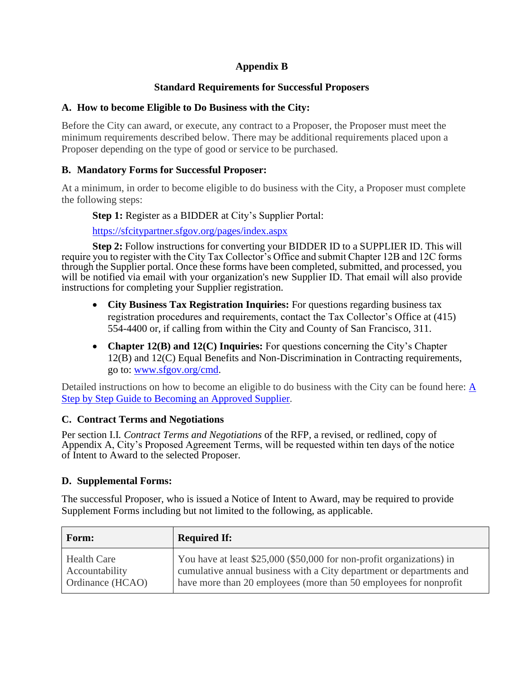# **Appendix B**

### **Standard Requirements for Successful Proposers**

#### **A. How to become Eligible to Do Business with the City:**

Before the City can award, or execute, any contract to a Proposer, the Proposer must meet the minimum requirements described below. There may be additional requirements placed upon a Proposer depending on the type of good or service to be purchased.

#### **B. Mandatory Forms for Successful Proposer:**

At a minimum, in order to become eligible to do business with the City, a Proposer must complete the following steps:

**Step 1:** Register as a BIDDER at City's Supplier Portal:

<https://sfcitypartner.sfgov.org/pages/index.aspx>

**Step 2:** Follow instructions for converting your BIDDER ID to a SUPPLIER ID. This will require you to register with the City Tax Collector's Office and submit Chapter 12B and 12C forms through the Supplier portal. Once these forms have been completed, submitted, and processed, you will be notified via email with your organization's new Supplier ID. That email will also provide instructions for completing your Supplier registration.

- **City Business Tax Registration Inquiries:** For questions regarding business tax registration procedures and requirements, contact the Tax Collector's Office at (415) 554-4400 or, if calling from within the City and County of San Francisco, 311.
- **Chapter 12(B) and 12(C) Inquiries:** For questions concerning the City's Chapter 12(B) and 12(C) Equal Benefits and Non-Discrimination in Contracting requirements, go to: [www.sfgov.org/cmd.](http://www.sfgov.org/cmd)

Detailed instructions on how to become an eligible to do business with the City can be found here: [A](https://sfcitypartnersupport.sfgov.org/support/solutions/articles/11000022936-bidder-a-step-by-step-guide-to-becoming-an-approved-supplier)  [Step by Step Guide to Becoming an Approved Supplier.](https://sfcitypartnersupport.sfgov.org/support/solutions/articles/11000022936-bidder-a-step-by-step-guide-to-becoming-an-approved-supplier)

## **C. Contract Terms and Negotiations**

Per section I.I*. Contract Terms and Negotiations* of the RFP, a revised, or redlined, copy of Appendix A, City's Proposed Agreement Terms, will be requested within ten days of the notice of Intent to Award to the selected Proposer.

## **D. Supplemental Forms:**

The successful Proposer, who is issued a Notice of Intent to Award, may be required to provide Supplement Forms including but not limited to the following, as applicable.

| Form:              | <b>Required If:</b>                                                   |
|--------------------|-----------------------------------------------------------------------|
| <b>Health Care</b> | You have at least \$25,000 (\$50,000 for non-profit organizations) in |
| Accountability     | cumulative annual business with a City department or departments and  |
| Ordinance (HCAO)   | have more than 20 employees (more than 50 employees for nonprofit     |